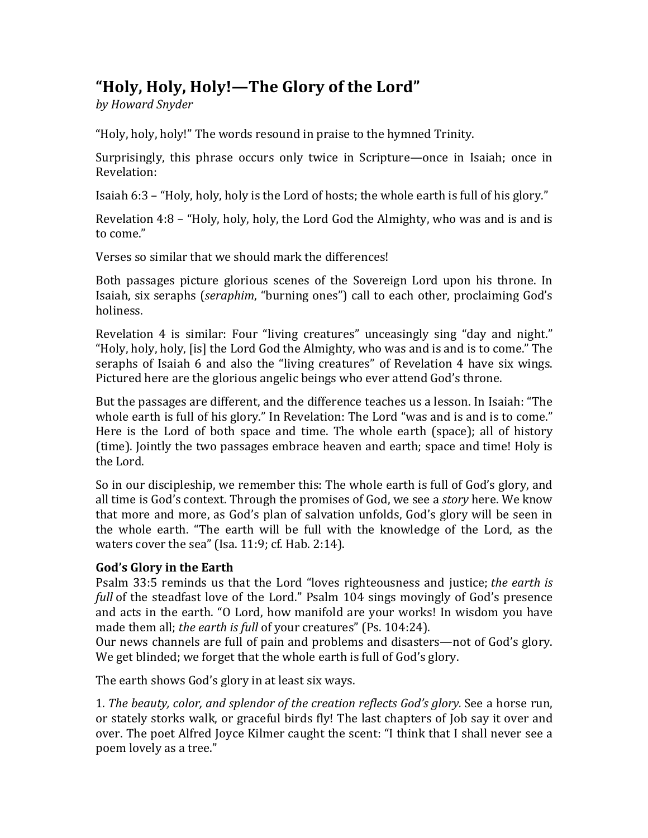## "Holy, Holy, Holy!—The Glory of the Lord"

*by Howard Snyder*

"Holy, holy, holy!" The words resound in praise to the hymned Trinity.

Surprisingly, this phrase occurs only twice in Scripture—once in Isaiah; once in Revelation:

Isaiah  $6:3$  – "Holy, holy, holy is the Lord of hosts; the whole earth is full of his glory."

Revelation  $4:8$  – "Holy, holy, holy, the Lord God the Almighty, who was and is and is to come."

Verses so similar that we should mark the differences!

Both passages picture glorious scenes of the Sovereign Lord upon his throne. In Isaiah, six seraphs (seraphim, "burning ones") call to each other, proclaiming God's holiness.

Revelation 4 is similar: Four "living creatures" unceasingly sing "day and night." "Holy, holy, holy, [is] the Lord God the Almighty, who was and is and is to come." The seraphs of Isaiah 6 and also the "living creatures" of Revelation 4 have six wings. Pictured here are the glorious angelic beings who ever attend God's throne.

But the passages are different, and the difference teaches us a lesson. In Isaiah: "The whole earth is full of his glory." In Revelation: The Lord "was and is and is to come." Here is the Lord of both space and time. The whole earth (space); all of history (time). Jointly the two passages embrace heaven and earth; space and time! Holy is the Lord.

So in our discipleship, we remember this: The whole earth is full of God's glory, and all time is God's context. Through the promises of God, we see a *story* here. We know that more and more, as God's plan of salvation unfolds, God's glory will be seen in the whole earth. "The earth will be full with the knowledge of the Lord, as the waters cover the sea" (Isa.  $11:9$ ; cf. Hab.  $2:14$ ).

## God's Glory in the Earth

Psalm 33:5 reminds us that the Lord "loves righteousness and justice; *the earth is full* of the steadfast love of the Lord." Psalm 104 sings movingly of God's presence and acts in the earth. "O Lord, how manifold are your works! In wisdom you have made them all; *the earth is full* of your creatures" (Ps. 104:24).

Our news channels are full of pain and problems and disasters—not of God's glory. We get blinded; we forget that the whole earth is full of God's glory.

The earth shows God's glory in at least six ways.

1. *The beauty, color, and splendor of the creation reflects God's glory.* See a horse run, or stately storks walk, or graceful birds fly! The last chapters of Job say it over and over. The poet Alfred Joyce Kilmer caught the scent: "I think that I shall never see a poem lovely as a tree."